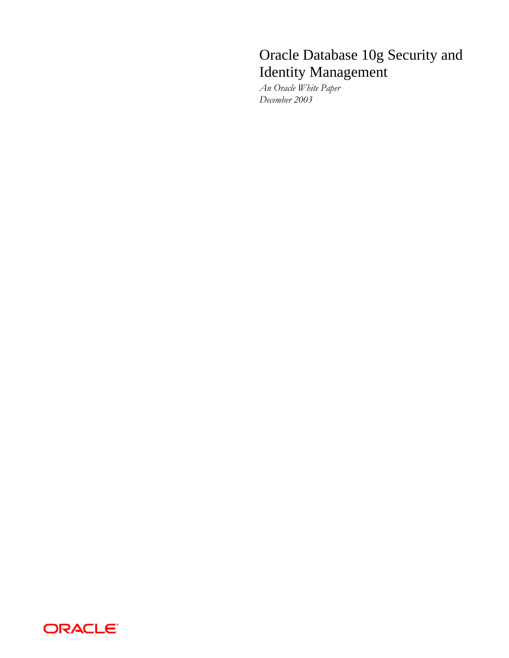# Oracle Database 10g Security and Identity Management

*An Oracle White Paper December 2003* 

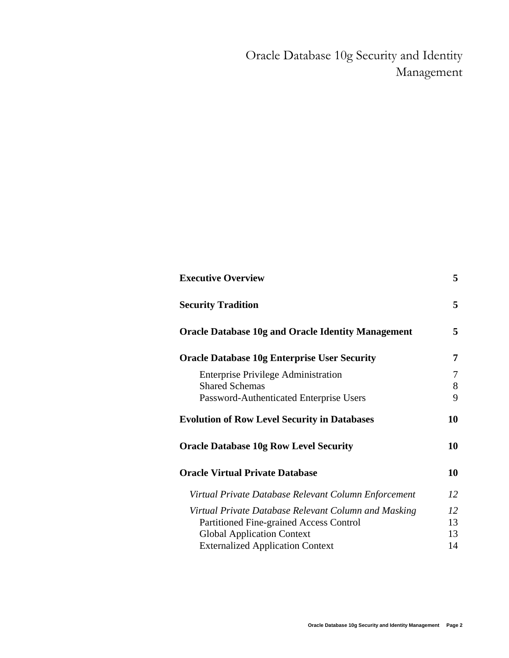# Oracle Database 10g Security and Identity Management

| <b>Executive Overview</b>                                 | 5  |
|-----------------------------------------------------------|----|
| <b>Security Tradition</b>                                 | 5  |
| <b>Oracle Database 10g and Oracle Identity Management</b> | 5  |
| <b>Oracle Database 10g Enterprise User Security</b>       | 7  |
| <b>Enterprise Privilege Administration</b>                | 7  |
| <b>Shared Schemas</b>                                     | 8  |
| Password-Authenticated Enterprise Users                   | 9  |
| <b>Evolution of Row Level Security in Databases</b>       | 10 |
| <b>Oracle Database 10g Row Level Security</b>             | 10 |
| <b>Oracle Virtual Private Database</b>                    | 10 |
| Virtual Private Database Relevant Column Enforcement      | 12 |
| Virtual Private Database Relevant Column and Masking      | 12 |
| Partitioned Fine-grained Access Control                   | 13 |
| <b>Global Application Context</b>                         | 13 |
| <b>Externalized Application Context</b>                   | 14 |
|                                                           |    |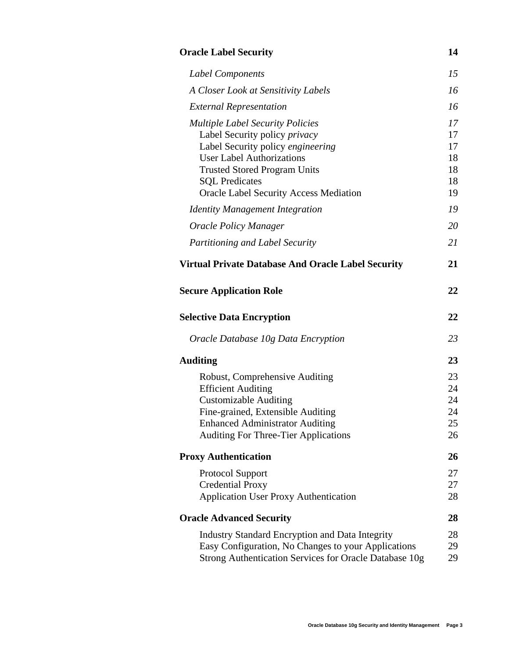| <b>Oracle Label Security</b>                                 | 14       |
|--------------------------------------------------------------|----------|
| Label Components                                             | 15       |
| A Closer Look at Sensitivity Labels                          | 16       |
| <b>External Representation</b>                               | 16       |
| <b>Multiple Label Security Policies</b>                      | 17       |
| Label Security policy <i>privacy</i>                         | 17       |
| Label Security policy engineering                            | 17       |
| <b>User Label Authorizations</b>                             | 18       |
| <b>Trusted Stored Program Units</b><br><b>SQL</b> Predicates | 18<br>18 |
| <b>Oracle Label Security Access Mediation</b>                | 19       |
| <b>Identity Management Integration</b>                       | 19       |
| <b>Oracle Policy Manager</b>                                 | 20       |
| <b>Partitioning and Label Security</b>                       | 21       |
| <b>Virtual Private Database And Oracle Label Security</b>    | 21       |
| <b>Secure Application Role</b>                               | 22       |
| <b>Selective Data Encryption</b>                             | 22       |
| Oracle Database 10g Data Encryption                          | 23       |
| <b>Auditing</b>                                              | 23       |
| Robust, Comprehensive Auditing                               | 23       |
| <b>Efficient Auditing</b>                                    | 24       |
| <b>Customizable Auditing</b>                                 | 24       |
| Fine-grained, Extensible Auditing                            | 24       |
| <b>Enhanced Administrator Auditing</b>                       | 25       |
| <b>Auditing For Three-Tier Applications</b>                  | 26       |
| <b>Proxy Authentication</b>                                  | 26       |
| <b>Protocol Support</b>                                      | 27       |
| <b>Credential Proxy</b>                                      | 27       |
| <b>Application User Proxy Authentication</b>                 | 28       |
| <b>Oracle Advanced Security</b>                              | 28       |
| <b>Industry Standard Encryption and Data Integrity</b>       | 28       |
| Easy Configuration, No Changes to your Applications          | 29       |
| Strong Authentication Services for Oracle Database 10g       | 29       |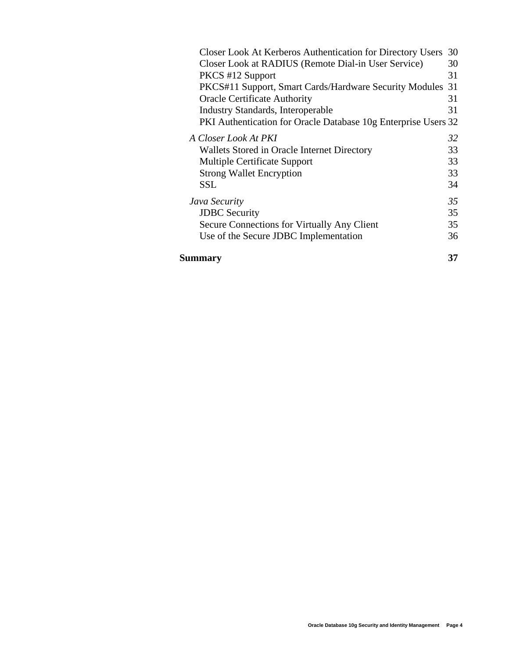| Closer Look At Kerberos Authentication for Directory Users     | 30 |
|----------------------------------------------------------------|----|
| Closer Look at RADIUS (Remote Dial-in User Service)            | 30 |
| PKCS #12 Support                                               | 31 |
| PKCS#11 Support, Smart Cards/Hardware Security Modules 31      |    |
| <b>Oracle Certificate Authority</b>                            | 31 |
| <b>Industry Standards, Interoperable</b>                       | 31 |
| PKI Authentication for Oracle Database 10g Enterprise Users 32 |    |
| A Closer Look At PKI                                           | 32 |
| Wallets Stored in Oracle Internet Directory                    | 33 |
| <b>Multiple Certificate Support</b>                            | 33 |
| <b>Strong Wallet Encryption</b>                                | 33 |
| <b>SSL</b>                                                     | 34 |
| Java Security                                                  | 35 |
| <b>JDBC</b> Security                                           | 35 |
| Secure Connections for Virtually Any Client                    | 35 |
| Use of the Secure JDBC Implementation                          | 36 |
| Summary                                                        | 37 |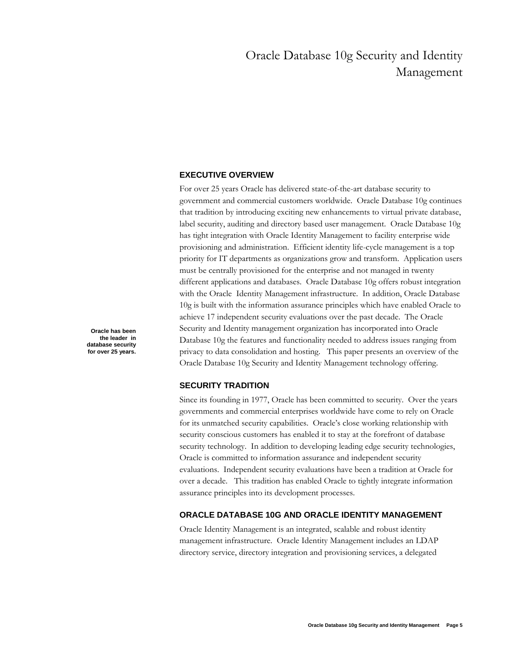# Oracle Database 10g Security and Identity Management

# <span id="page-4-0"></span>**EXECUTIVE OVERVIEW**

For over 25 years Oracle has delivered state-of-the-art database security to government and commercial customers worldwide. Oracle Database 10g continues that tradition by introducing exciting new enhancements to virtual private database, label security, auditing and directory based user management. Oracle Database 10g has tight integration with Oracle Identity Management to facility enterprise wide provisioning and administration. Efficient identity life-cycle management is a top priority for IT departments as organizations grow and transform. Application users must be centrally provisioned for the enterprise and not managed in twenty different applications and databases. Oracle Database 10g offers robust integration with the Oracle Identity Management infrastructure. In addition, Oracle Database 10g is built with the information assurance principles which have enabled Oracle to achieve 17 independent security evaluations over the past decade. The Oracle Security and Identity management organization has incorporated into Oracle Database 10g the features and functionality needed to address issues ranging from privacy to data consolidation and hosting. This paper presents an overview of the Oracle Database 10g Security and Identity Management technology offering.

# **SECURITY TRADITION**

Since its founding in 1977, Oracle has been committed to security. Over the years governments and commercial enterprises worldwide have come to rely on Oracle for its unmatched security capabilities. Oracle's close working relationship with security conscious customers has enabled it to stay at the forefront of database security technology. In addition to developing leading edge security technologies, Oracle is committed to information assurance and independent security evaluations. Independent security evaluations have been a tradition at Oracle for over a decade. This tradition has enabled Oracle to tightly integrate information assurance principles into its development processes.

# **ORACLE DATABASE 10G AND ORACLE IDENTITY MANAGEMENT**

Oracle Identity Management is an integrated, scalable and robust identity management infrastructure. Oracle Identity Management includes an LDAP directory service, directory integration and provisioning services, a delegated

**Oracle has been the leader in database security for over 25 years.**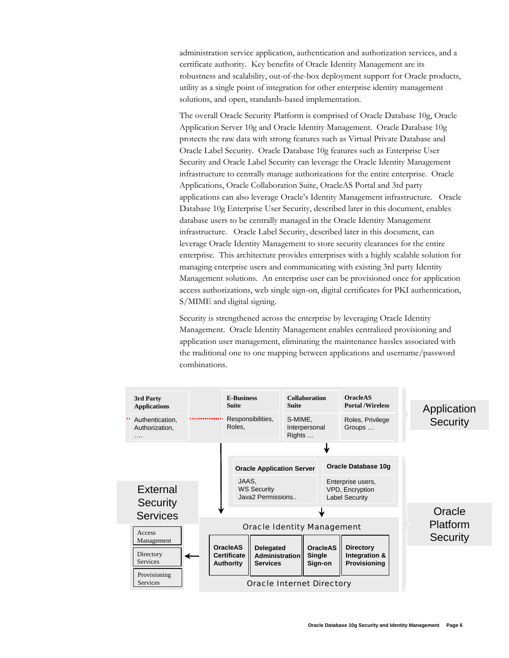administration service application, authentication and authorization services, and a certificate authority. Key benefits of Oracle Identity Management are its robustness and scalability, out-of-the-box deployment support for Oracle products, utility as a single point of integration for other enterprise identity management solutions, and open, standards-based implementation.

The overall Oracle Security Platform is comprised of Oracle Database 10g, Oracle Application Server 10g and Oracle Identity Management. Oracle Database 10g protects the raw data with strong features such as Virtual Private Database and Oracle Label Security. Oracle Database 10g features such as Enterprise User Security and Oracle Label Security can leverage the Oracle Identity Management infrastructure to centrally manage authorizations for the entire enterprise. Oracle Applications, Oracle Collaboration Suite, OracleAS Portal and 3rd party applications can also leverage Oracle's Identity Management infrastructure. Oracle Database 10g Enterprise User Security, described later in this document, enables database users to be centrally managed in the Oracle Identity Management infrastructure. Oracle Label Security, described later in this document, can leverage Oracle Identity Management to store security clearances for the entire enterprise. This architecture provides enterprises with a highly scalable solution for managing enterprise users and communicating with existing 3rd party Identity Management solutions. An enterprise user can be provisioned once for application access authorizations, web single sign-on, digital certificates for PKI authentication, S/MIME and digital signing.

Security is strengthened across the enterprise by leveraging Oracle Identity Management. Oracle Identity Management enables centralized provisioning and application user management, eliminating the maintenance hassles associated with the traditional one to one mapping between applications and username/password combinations.

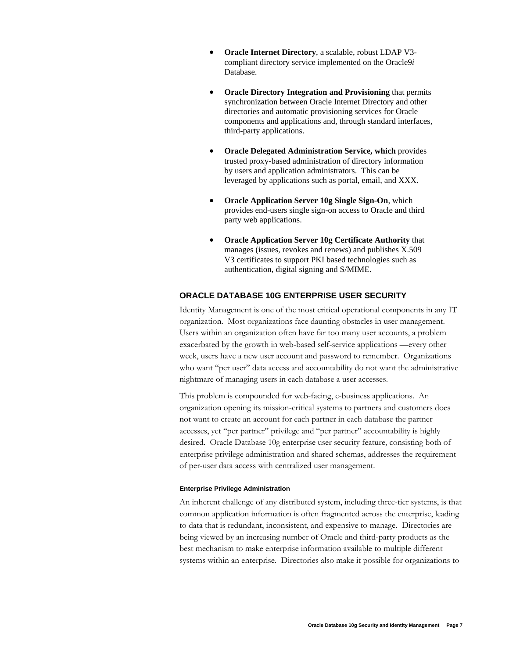- <span id="page-6-0"></span>• **Oracle Internet Directory**, a scalable, robust LDAP V3 compliant directory service implemented on the Oracle9*i* Database.
- **Oracle Directory Integration and Provisioning** that permits synchronization between Oracle Internet Directory and other directories and automatic provisioning services for Oracle components and applications and, through standard interfaces, third-party applications.
- **Oracle Delegated Administration Service, which** provides trusted proxy-based administration of directory information by users and application administrators. This can be leveraged by applications such as portal, email, and XXX.
- **Oracle Application Server 10g Single Sign-On**, which provides end-users single sign-on access to Oracle and third party web applications.
- **Oracle Application Server 10g Certificate Authority** that manages (issues, revokes and renews) and publishes X.509 V3 certificates to support PKI based technologies such as authentication, digital signing and S/MIME.

# **ORACLE DATABASE 10G ENTERPRISE USER SECURITY**

Identity Management is one of the most critical operational components in any IT organization. Most organizations face daunting obstacles in user management. Users within an organization often have far too many user accounts, a problem exacerbated by the growth in web-based self-service applications —every other week, users have a new user account and password to remember. Organizations who want "per user" data access and accountability do not want the administrative nightmare of managing users in each database a user accesses.

This problem is compounded for web-facing, e-business applications. An organization opening its mission-critical systems to partners and customers does not want to create an account for each partner in each database the partner accesses, yet "per partner" privilege and "per partner" accountability is highly desired. Oracle Database 10g enterprise user security feature, consisting both of enterprise privilege administration and shared schemas, addresses the requirement of per-user data access with centralized user management.

#### **Enterprise Privilege Administration**

An inherent challenge of any distributed system, including three-tier systems, is that common application information is often fragmented across the enterprise, leading to data that is redundant, inconsistent, and expensive to manage. Directories are being viewed by an increasing number of Oracle and third-party products as the best mechanism to make enterprise information available to multiple different systems within an enterprise. Directories also make it possible for organizations to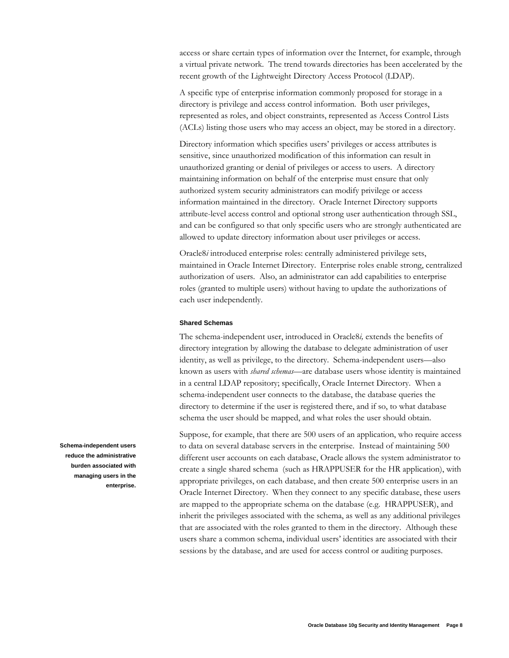<span id="page-7-0"></span>access or share certain types of information over the Internet, for example, through a virtual private network. The trend towards directories has been accelerated by the recent growth of the Lightweight Directory Access Protocol (LDAP).

A specific type of enterprise information commonly proposed for storage in a directory is privilege and access control information. Both user privileges, represented as roles, and object constraints, represented as Access Control Lists (ACLs) listing those users who may access an object, may be stored in a directory.

Directory information which specifies users' privileges or access attributes is sensitive, since unauthorized modification of this information can result in unauthorized granting or denial of privileges or access to users. A directory maintaining information on behalf of the enterprise must ensure that only authorized system security administrators can modify privilege or access information maintained in the directory. Oracle Internet Directory supports attribute-level access control and optional strong user authentication through SSL, and can be configured so that only specific users who are strongly authenticated are allowed to update directory information about user privileges or access.

Oracle8*i* introduced enterprise roles: centrally administered privilege sets, maintained in Oracle Internet Directory. Enterprise roles enable strong, centralized authorization of users. Also, an administrator can add capabilities to enterprise roles (granted to multiple users) without having to update the authorizations of each user independently.

#### **Shared Schemas**

The schema-independent user, introduced in Oracle8*i,* extends the benefits of directory integration by allowing the database to delegate administration of user identity, as well as privilege, to the directory. Schema-independent users—also known as users with *shared schemas*—are database users whose identity is maintained in a central LDAP repository; specifically, Oracle Internet Directory. When a schema-independent user connects to the database, the database queries the directory to determine if the user is registered there, and if so, to what database schema the user should be mapped, and what roles the user should obtain.

Suppose, for example, that there are 500 users of an application, who require access to data on several database servers in the enterprise. Instead of maintaining 500 different user accounts on each database, Oracle allows the system administrator to create a single shared schema (such as HRAPPUSER for the HR application), with appropriate privileges, on each database, and then create 500 enterprise users in an Oracle Internet Directory. When they connect to any specific database, these users are mapped to the appropriate schema on the database (e.g. HRAPPUSER), and inherit the privileges associated with the schema, as well as any additional privileges that are associated with the roles granted to them in the directory. Although these users share a common schema, individual users' identities are associated with their sessions by the database, and are used for access control or auditing purposes.

**Schema-independent users reduce the administrative burden associated with managing users in the enterprise.**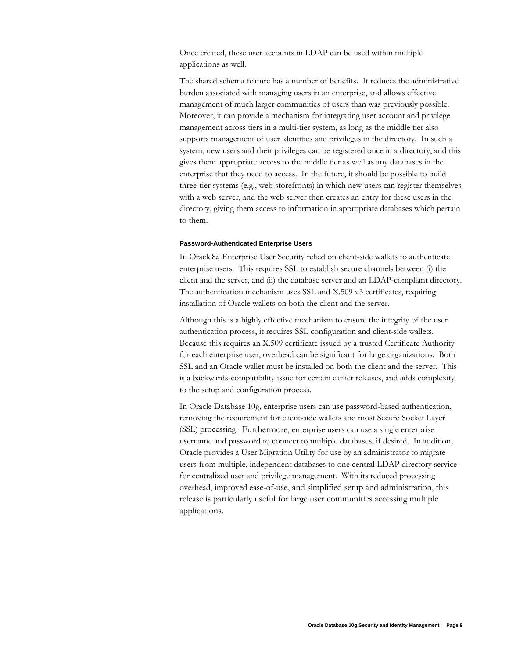<span id="page-8-0"></span>Once created, these user accounts in LDAP can be used within multiple applications as well.

The shared schema feature has a number of benefits. It reduces the administrative burden associated with managing users in an enterprise, and allows effective management of much larger communities of users than was previously possible. Moreover, it can provide a mechanism for integrating user account and privilege management across tiers in a multi-tier system, as long as the middle tier also supports management of user identities and privileges in the directory. In such a system, new users and their privileges can be registered once in a directory, and this gives them appropriate access to the middle tier as well as any databases in the enterprise that they need to access. In the future, it should be possible to build three-tier systems (e.g., web storefronts) in which new users can register themselves with a web server, and the web server then creates an entry for these users in the directory, giving them access to information in appropriate databases which pertain to them.

#### **Password-Authenticated Enterprise Users**

In Oracle8*i,* Enterprise User Security relied on client-side wallets to authenticate enterprise users. This requires SSL to establish secure channels between (i) the client and the server, and (ii) the database server and an LDAP-compliant directory. The authentication mechanism uses SSL and X.509 v3 certificates, requiring installation of Oracle wallets on both the client and the server.

Although this is a highly effective mechanism to ensure the integrity of the user authentication process, it requires SSL configuration and client-side wallets. Because this requires an X.509 certificate issued by a trusted Certificate Authority for each enterprise user, overhead can be significant for large organizations. Both SSL and an Oracle wallet must be installed on both the client and the server. This is a backwards-compatibility issue for certain earlier releases, and adds complexity to the setup and configuration process.

In Oracle Database 10g, enterprise users can use password-based authentication, removing the requirement for client-side wallets and most Secure Socket Layer (SSL) processing. Furthermore, enterprise users can use a single enterprise username and password to connect to multiple databases, if desired. In addition, Oracle provides a User Migration Utility for use by an administrator to migrate users from multiple, independent databases to one central LDAP directory service for centralized user and privilege management. With its reduced processing overhead, improved ease-of-use, and simplified setup and administration, this release is particularly useful for large user communities accessing multiple applications.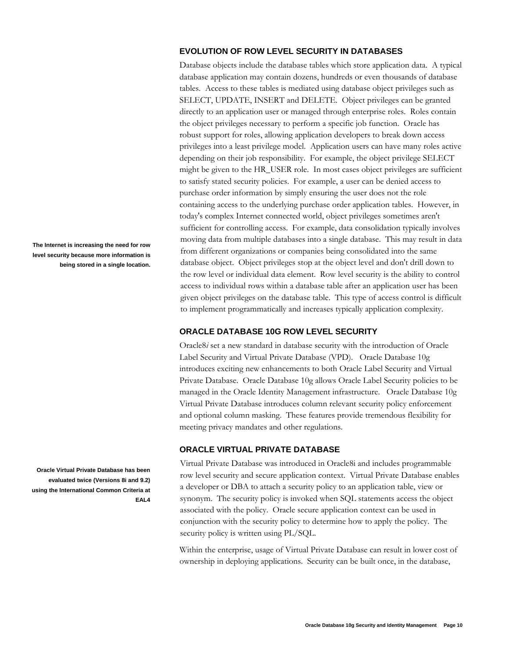# <span id="page-9-0"></span>**EVOLUTION OF ROW LEVEL SECURITY IN DATABASES**

Database objects include the database tables which store application data. A typical database application may contain dozens, hundreds or even thousands of database tables. Access to these tables is mediated using database object privileges such as SELECT, UPDATE, INSERT and DELETE. Object privileges can be granted directly to an application user or managed through enterprise roles. Roles contain the object privileges necessary to perform a specific job function. Oracle has robust support for roles, allowing application developers to break down access privileges into a least privilege model. Application users can have many roles active depending on their job responsibility. For example, the object privilege SELECT might be given to the HR\_USER role. In most cases object privileges are sufficient to satisfy stated security policies. For example, a user can be denied access to purchase order information by simply ensuring the user does not the role containing access to the underlying purchase order application tables. However, in today's complex Internet connected world, object privileges sometimes aren't sufficient for controlling access. For example, data consolidation typically involves moving data from multiple databases into a single database. This may result in data from different organizations or companies being consolidated into the same database object. Object privileges stop at the object level and don't drill down to the row level or individual data element. Row level security is the ability to control access to individual rows within a database table after an application user has been given object privileges on the database table. This type of access control is difficult to implement programmatically and increases typically application complexity.

# **ORACLE DATABASE 10G ROW LEVEL SECURITY**

Oracle8*i* set a new standard in database security with the introduction of Oracle Label Security and Virtual Private Database (VPD). Oracle Database 10g introduces exciting new enhancements to both Oracle Label Security and Virtual Private Database. Oracle Database 10g allows Oracle Label Security policies to be managed in the Oracle Identity Management infrastructure. Oracle Database 10g Virtual Private Database introduces column relevant security policy enforcement and optional column masking. These features provide tremendous flexibility for meeting privacy mandates and other regulations.

# **ORACLE VIRTUAL PRIVATE DATABASE**

Virtual Private Database was introduced in Oracle8i and includes programmable row level security and secure application context. Virtual Private Database enables a developer or DBA to attach a security policy to an application table, view or synonym. The security policy is invoked when SQL statements access the object associated with the policy. Oracle secure application context can be used in conjunction with the security policy to determine how to apply the policy. The security policy is written using PL/SQL.

Within the enterprise, usage of Virtual Private Database can result in lower cost of ownership in deploying applications. Security can be built once, in the database,

**The Internet is increasing the need for row level security because more information is being stored in a single location.** 

**Oracle Virtual Private Database has been evaluated twice (Versions 8i and 9.2) using the International Common Criteria at EAL4**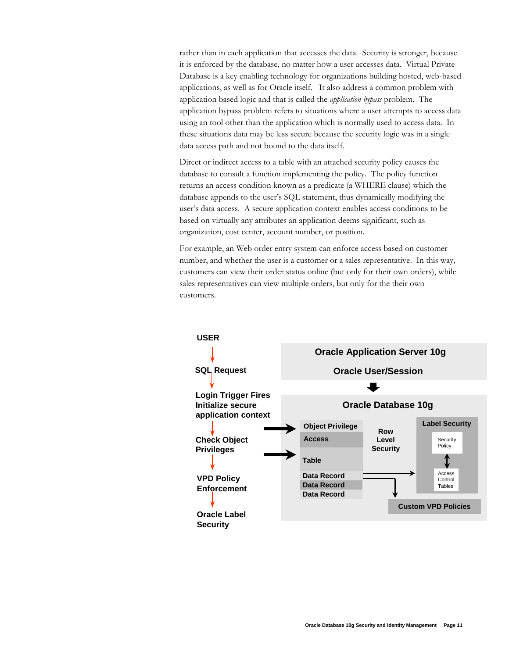rather than in each application that accesses the data. Security is stronger, because it is enforced by the database, no matter how a user accesses data. Virtual Private Database is a key enabling technology for organizations building hosted, web-based applications, as well as for Oracle itself. It also address a common problem with application based logic and that is called the *application bypass* problem. The application bypass problem refers to situations where a user attempts to access data using an tool other than the application which is normally used to access data. In these situations data may be less secure because the security logic was in a single data access path and not bound to the data itself.

Direct or indirect access to a table with an attached security policy causes the database to consult a function implementing the policy. The policy function returns an access condition known as a predicate (a WHERE clause) which the database appends to the user's SQL statement, thus dynamically modifying the user's data access. A secure application context enables access conditions to be based on virtually any attributes an application deems significant, such as organization, cost center, account number, or position.

For example, an Web order entry system can enforce access based on customer number, and whether the user is a customer or a sales representative. In this way, customers can view their order status online (but only for their own orders), while sales representatives can view multiple orders, but only for the their own customers.

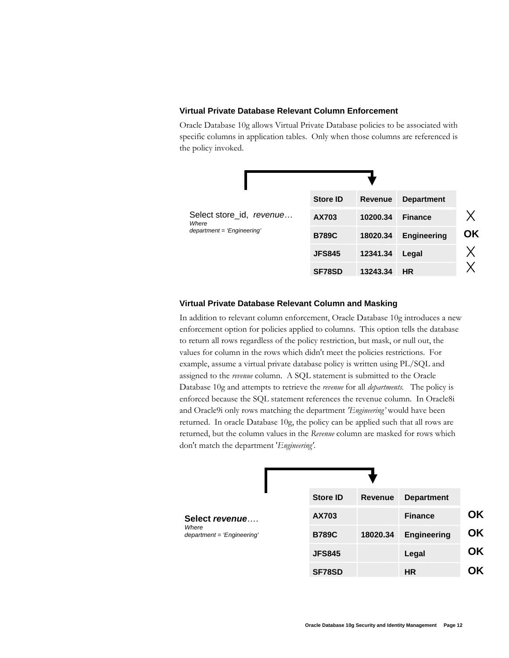# <span id="page-11-0"></span>**Virtual Private Database Relevant Column Enforcement**

Oracle Database 10g allows Virtual Private Database policies to be associated with specific columns in application tables. Only when those columns are referenced is the policy invoked.

|                                                                   | <b>Store ID</b> | <b>Revenue</b> | <b>Department</b>  |
|-------------------------------------------------------------------|-----------------|----------------|--------------------|
| Select store_id, revenue<br>Where<br>$department = 'Engineering'$ | AX703           | 10200.34       | <b>Finance</b>     |
|                                                                   | <b>B789C</b>    | 18020.34       | <b>Engineering</b> |
|                                                                   | <b>JFS845</b>   | 12341.34       | Legal              |
|                                                                   | <b>SF78SD</b>   | 13243.34       | <b>HR</b>          |

# **Virtual Private Database Relevant Column and Masking**

In addition to relevant column enforcement, Oracle Database 10g introduces a new enforcement option for policies applied to columns. This option tells the database to return all rows regardless of the policy restriction, but mask, or null out, the values for column in the rows which didn't meet the policies restrictions. For example, assume a virtual private database policy is written using PL/SQL and assigned to the *revenue* column. A SQL statement is submitted to the Oracle Database 10g and attempts to retrieve the *revenue* for all *departments.* The policy is enforced because the SQL statement references the revenue column. In Oracle8i and Oracle9i only rows matching the department *'Engineering'* would have been returned. In oracle Database 10g, the policy can be applied such that all rows are returned, but the column values in the *Revenue* column are masked for rows which don't match the department '*Engineering'.* 

|                                       | <b>Store ID</b> | <b>Revenue</b> | <b>Department</b>  |    |
|---------------------------------------|-----------------|----------------|--------------------|----|
| Select revenue                        | AX703           |                | <b>Finance</b>     | OK |
| Where<br>$department = 'Engineering'$ | <b>B789C</b>    | 18020.34       | <b>Engineering</b> | OK |
|                                       | <b>JFS845</b>   |                | Legal              | OK |
|                                       | SF78SD          |                | <b>HR</b>          | ОΚ |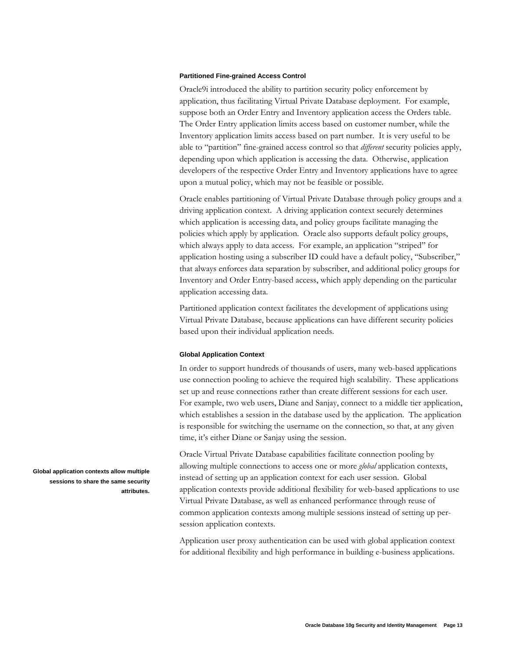#### <span id="page-12-0"></span>**Partitioned Fine-grained Access Control**

Oracle9i introduced the ability to partition security policy enforcement by application, thus facilitating Virtual Private Database deployment. For example, suppose both an Order Entry and Inventory application access the Orders table. The Order Entry application limits access based on customer number, while the Inventory application limits access based on part number. It is very useful to be able to "partition" fine-grained access control so that *different* security policies apply, depending upon which application is accessing the data. Otherwise, application developers of the respective Order Entry and Inventory applications have to agree upon a mutual policy, which may not be feasible or possible.

Oracle enables partitioning of Virtual Private Database through policy groups and a driving application context. A driving application context securely determines which application is accessing data, and policy groups facilitate managing the policies which apply by application. Oracle also supports default policy groups, which always apply to data access. For example, an application "striped" for application hosting using a subscriber ID could have a default policy, "Subscriber," that always enforces data separation by subscriber, and additional policy groups for Inventory and Order Entry-based access, which apply depending on the particular application accessing data.

Partitioned application context facilitates the development of applications using Virtual Private Database, because applications can have different security policies based upon their individual application needs.

#### **Global Application Context**

In order to support hundreds of thousands of users, many web-based applications use connection pooling to achieve the required high scalability. These applications set up and reuse connections rather than create different sessions for each user. For example, two web users, Diane and Sanjay, connect to a middle tier application, which establishes a session in the database used by the application. The application is responsible for switching the username on the connection, so that, at any given time, it's either Diane or Sanjay using the session.

Oracle Virtual Private Database capabilities facilitate connection pooling by allowing multiple connections to access one or more *global* application contexts, instead of setting up an application context for each user session. Global application contexts provide additional flexibility for web-based applications to use Virtual Private Database, as well as enhanced performance through reuse of common application contexts among multiple sessions instead of setting up persession application contexts.

Application user proxy authentication can be used with global application context for additional flexibility and high performance in building e-business applications.

**Global application contexts allow multiple sessions to share the same security attributes.**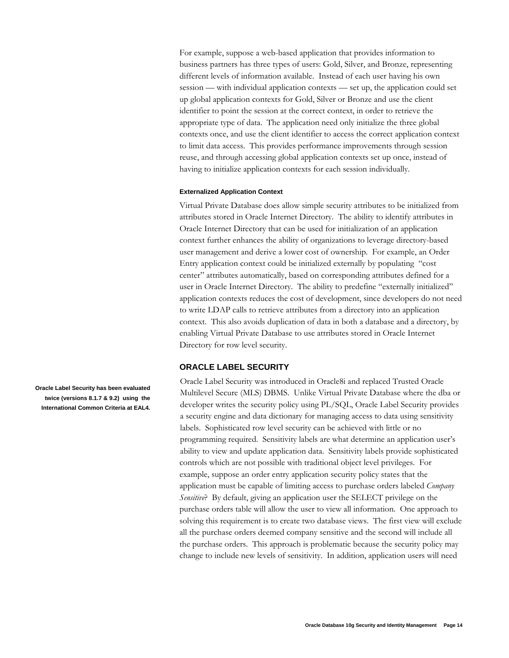<span id="page-13-0"></span>For example, suppose a web-based application that provides information to business partners has three types of users: Gold, Silver, and Bronze, representing different levels of information available. Instead of each user having his own session — with individual application contexts — set up, the application could set up global application contexts for Gold, Silver or Bronze and use the client identifier to point the session at the correct context, in order to retrieve the appropriate type of data. The application need only initialize the three global contexts once, and use the client identifier to access the correct application context to limit data access. This provides performance improvements through session reuse, and through accessing global application contexts set up once, instead of having to initialize application contexts for each session individually.

#### **Externalized Application Context**

Virtual Private Database does allow simple security attributes to be initialized from attributes stored in Oracle Internet Directory. The ability to identify attributes in Oracle Internet Directory that can be used for initialization of an application context further enhances the ability of organizations to leverage directory-based user management and derive a lower cost of ownership. For example, an Order Entry application context could be initialized externally by populating "cost center" attributes automatically, based on corresponding attributes defined for a user in Oracle Internet Directory. The ability to predefine "externally initialized" application contexts reduces the cost of development, since developers do not need to write LDAP calls to retrieve attributes from a directory into an application context. This also avoids duplication of data in both a database and a directory, by enabling Virtual Private Database to use attributes stored in Oracle Internet Directory for row level security.

# **ORACLE LABEL SECURITY**

Oracle Label Security was introduced in Oracle8i and replaced Trusted Oracle Multilevel Secure (MLS) DBMS. Unlike Virtual Private Database where the dba or developer writes the security policy using PL/SQL, Oracle Label Security provides a security engine and data dictionary for managing access to data using sensitivity labels. Sophisticated row level security can be achieved with little or no programming required. Sensitivity labels are what determine an application user's ability to view and update application data. Sensitivity labels provide sophisticated controls which are not possible with traditional object level privileges. For example, suppose an order entry application security policy states that the application must be capable of limiting access to purchase orders labeled *Company Sensitive*? By default, giving an application user the SELECT privilege on the purchase orders table will allow the user to view all information. One approach to solving this requirement is to create two database views. The first view will exclude all the purchase orders deemed company sensitive and the second will include all the purchase orders. This approach is problematic because the security policy may change to include new levels of sensitivity. In addition, application users will need

**Oracle Label Security has been evaluated twice (versions 8.1.7 & 9.2) using the International Common Criteria at EAL4.**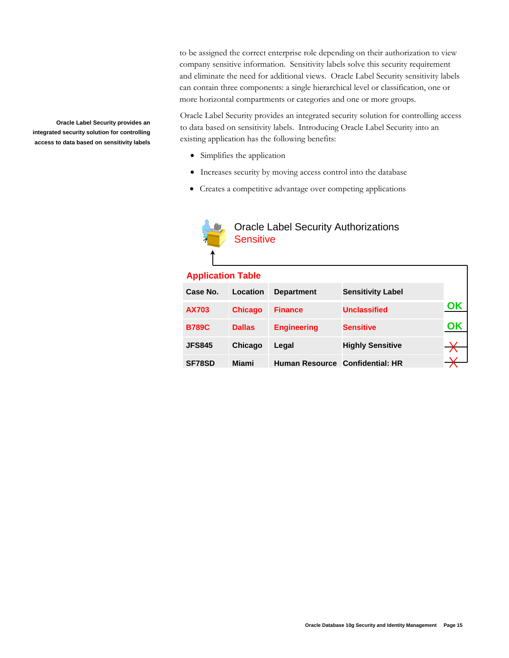to be assigned the correct enterprise role depending on their authorization to view company sensitive information. Sensitivity labels solve this security requirement and eliminate the need for additional views. Oracle Label Security sensitivity labels can contain three components: a single hierarchical level or classification, one or more horizontal compartments or categories and one or more groups.

Oracle Label Security provides an integrated security solution for controlling access to data based on sensitivity labels. Introducing Oracle Label Security into an existing application has the following benefits:

- Simplifies the application
- Increases security by moving access control into the database
- Creates a competitive advantage over competing applications



# Oracle Label Security Authorizations **[Sensitive](#page-31-0)**

| <b>Application Table</b> |                |                                 |                          |           |
|--------------------------|----------------|---------------------------------|--------------------------|-----------|
| Case No.                 | Location       | <b>Department</b>               | <b>Sensitivity Label</b> |           |
| <b>AX703</b>             | <b>Chicago</b> | <b>Finance</b>                  | <b>Unclassified</b>      | ΟK        |
| <b>B789C</b>             | <b>Dallas</b>  | <b>Engineering</b>              | <b>Sensitive</b>         | <b>OK</b> |
| <b>JFS845</b>            | Chicago        | Legal                           | <b>Highly Sensitive</b>  |           |
| SF78SD                   | Miami          | Human Resource Confidential: HR |                          |           |

<span id="page-14-0"></span>**Oracle Label Security provides an integrated security solution for controlling access to data based on sensitivity labels**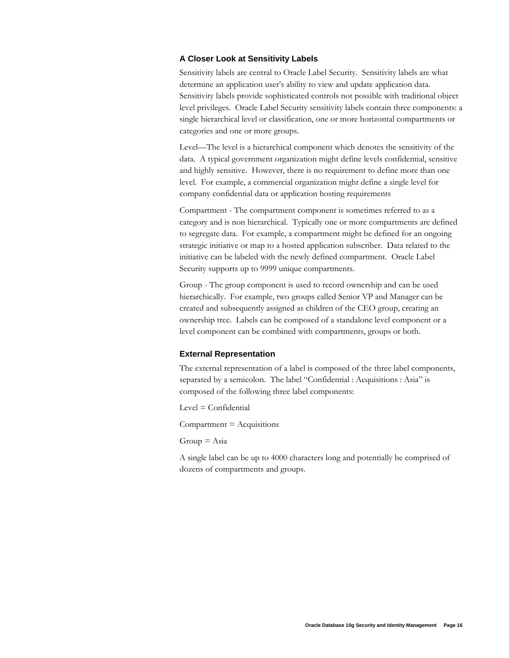# <span id="page-15-0"></span>**A Closer Look at Sensitivity Labels**

Sensitivity labels are central to Oracle Label Security. Sensitivity labels are what determine an application user's ability to view and update application data. Sensitivity labels provide sophisticated controls not possible with traditional object level privileges. Oracle Label Security sensitivity labels contain three components: a single hierarchical level or classification, one or more horizontal compartments or categories and one or more groups.

Level—The level is a hierarchical component which denotes the sensitivity of the data. A typical government organization might define levels confidential, sensitive and highly sensitive. However, there is no requirement to define more than one level. For example, a commercial organization might define a single level for company confidential data or application hosting requirements

Compartment - The compartment component is sometimes referred to as a category and is non hierarchical. Typically one or more compartments are defined to segregate data. For example, a compartment might be defined for an ongoing strategic initiative or map to a hosted application subscriber. Data related to the initiative can be labeled with the newly defined compartment. Oracle Label Security supports up to 9999 unique compartments.

Group - The group component is used to record ownership and can be used hierarchically. For example, two groups called Senior VP and Manager can be created and subsequently assigned as children of the CEO group, creating an ownership tree. Labels can be composed of a standalone level component or a level component can be combined with compartments, groups or both.

# **External Representation**

The external representation of a label is composed of the three label components, separated by a semicolon. The label "Confidential : Acquisitions : Asia" is composed of the following three label components:

Level = Confidential

 $Computer = Acquisitions$ 

 $Group = Asia$ 

A single label can be up to 4000 characters long and potentially be comprised of dozens of compartments and groups.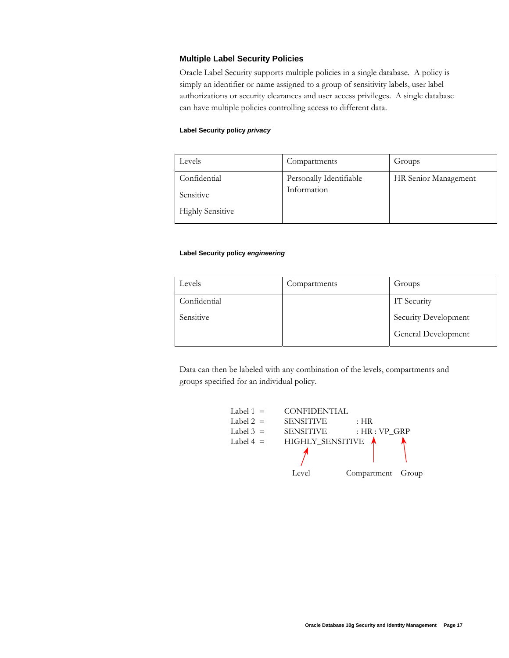# <span id="page-16-0"></span>**Multiple Label Security Policies**

Oracle Label Security supports multiple policies in a single database. A policy is simply an identifier or name assigned to a group of sensitivity labels, user label authorizations or security clearances and user access privileges. A single database can have multiple policies controlling access to different data.

# **Label Security policy** *privacy*

| Levels                  | Compartments            | Groups               |
|-------------------------|-------------------------|----------------------|
| Confidential            | Personally Identifiable | HR Senior Management |
| Sensitive               | Information             |                      |
| <b>Highly Sensitive</b> |                         |                      |

#### **Label Security policy** *engineering*

| Levels       | Compartments | Groups               |
|--------------|--------------|----------------------|
| Confidential |              | IT Security          |
| Sensitive    |              | Security Development |
|              |              | General Development  |

Data can then be labeled with any combination of the levels, compartments and groups specified for an individual policy.

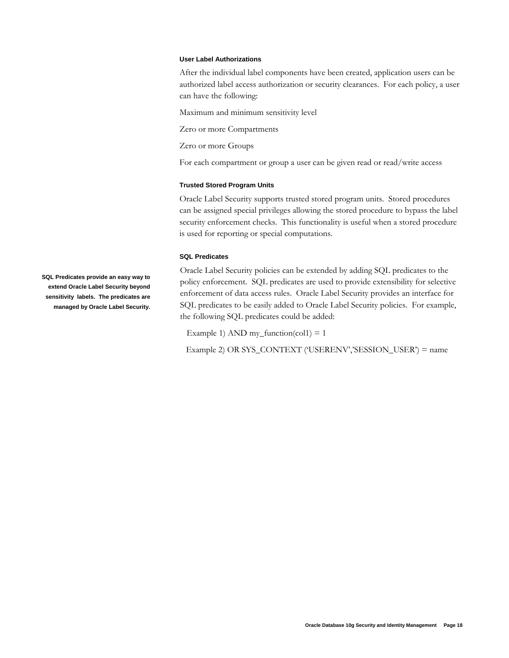#### <span id="page-17-0"></span>**User Label Authorizations**

After the individual label components have been created, application users can be authorized label access authorization or security clearances. For each policy, a user can have the following:

Maximum and minimum sensitivity level

Zero or more Compartments

Zero or more Groups

For each compartment or group a user can be given read or read/write access

#### **Trusted Stored Program Units**

Oracle Label Security supports trusted stored program units. Stored procedures can be assigned special privileges allowing the stored procedure to bypass the label security enforcement checks. This functionality is useful when a stored procedure is used for reporting or special computations.

#### **SQL Predicates**

Oracle Label Security policies can be extended by adding SQL predicates to the policy enforcement. SQL predicates are used to provide extensibility for selective enforcement of data access rules. Oracle Label Security provides an interface for SQL predicates to be easily added to Oracle Label Security policies. For example, the following SQL predicates could be added:

Example 1) AND my\_function(col1) = 1

Example 2) OR SYS\_CONTEXT ('USERENV','SESSION\_USER') = name

**SQL Predicates provide an easy way to extend Oracle Label Security beyond sensitivity labels. The predicates are managed by Oracle Label Security.**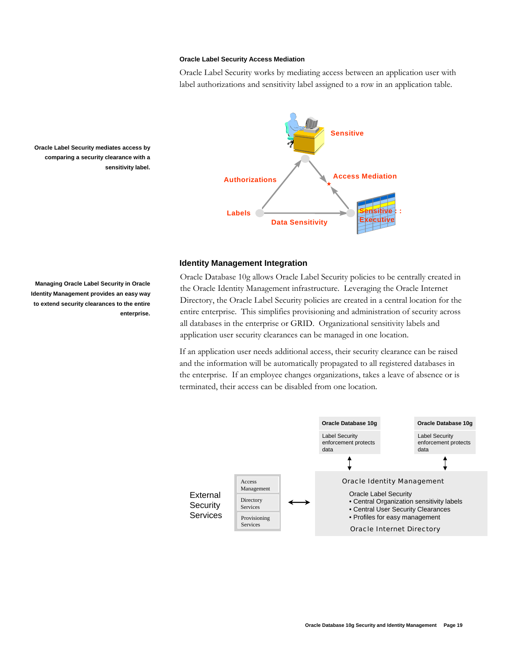#### **Oracle Label Security Access Mediation**

Oracle Label Security works by mediating access between an application user with label authorizations and sensitivity label assigned to a row in an application table.



<span id="page-18-0"></span>**Oracle Label Security mediates access by comparing a security clearance with a sensitivity label.** 

#### **Identity Management Integration**

Oracle Database 10g allows Oracle Label Security policies to be centrally created in the Oracle Identity Management infrastructure. Leveraging the Oracle Internet Directory, the Oracle Label Security policies are created in a central location for the entire enterprise. This simplifies provisioning and administration of security across all databases in the enterprise or GRID. Organizational sensitivity labels and application user security clearances can be managed in one location.

> If an application user needs additional access, their security clearance can be raised and the information will be automatically propagated to all registered databases in the enterprise. If an employee changes organizations, takes a leave of absence or is terminated, their access can be disabled from one location.



**Managing Oracle Label Security in Oracle Identity Management provides an easy way to extend security clearances to the entire enterprise.**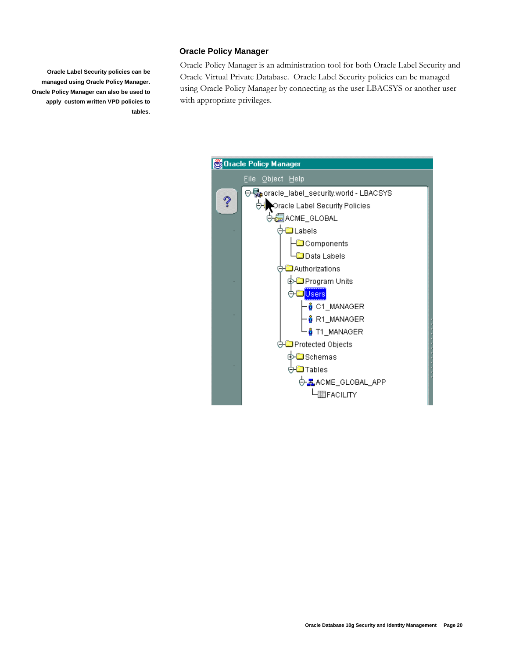# **Oracle Policy Manager**

<span id="page-19-0"></span>**Oracle Label Security policies can be managed using Oracle Policy Manager. Oracle Policy Manager can also be used to apply custom written VPD policies to tables.** 

Oracle Policy Manager is an administration tool for both Oracle Label Security and Oracle Virtual Private Database. Oracle Label Security policies can be managed using Oracle Policy Manager by connecting as the user LBACSYS or another user with appropriate privileges.

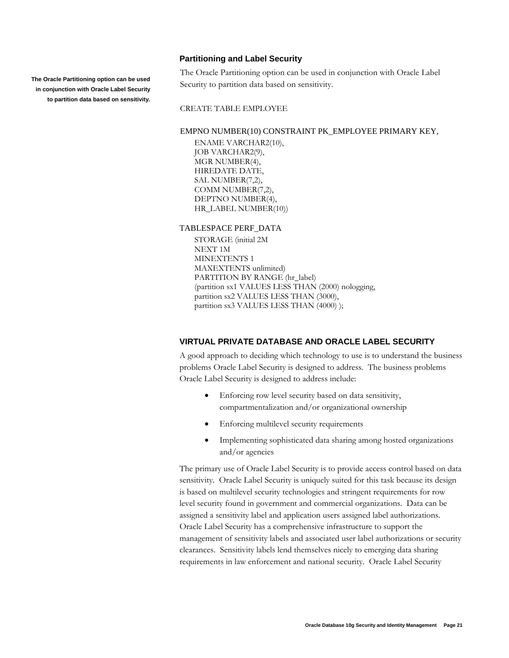# **Partitioning and Label Security**

<span id="page-20-0"></span>The Oracle Partitioning option can be used in conjunction with Oracle Label The Oracle Partitioning option can be used<br>
Security to partition data based on sensitivity.

# CREATE TABLE EMPLOYEE

#### EMPNO NUMBER(10) CONSTRAINT PK\_EMPLOYEE PRIMARY KEY,

ENAME VARCHAR2(10), JOB VARCHAR2(9), MGR NUMBER(4), HIREDATE DATE, SAL NUMBER(7,2), COMM NUMBER(7,2), DEPTNO NUMBER(4), HR\_LABEL NUMBER(10))

# TABLESPACE PERF\_DATA

STORAGE (initial 2M NEXT 1M MINEXTENTS 1 MAXEXTENTS unlimited) PARTITION BY RANGE (hr\_label) (partition sx1 VALUES LESS THAN (2000) nologging, partition sx2 VALUES LESS THAN (3000), partition sx3 VALUES LESS THAN (4000) );

# **VIRTUAL PRIVATE DATABASE AND ORACLE LABEL SECURITY**

A good approach to deciding which technology to use is to understand the business problems Oracle Label Security is designed to address. The business problems Oracle Label Security is designed to address include:

- Enforcing row level security based on data sensitivity, compartmentalization and/or organizational ownership
- Enforcing multilevel security requirements
- Implementing sophisticated data sharing among hosted organizations and/or agencies

The primary use of Oracle Label Security is to provide access control based on data sensitivity. Oracle Label Security is uniquely suited for this task because its design is based on multilevel security technologies and stringent requirements for row level security found in government and commercial organizations. Data can be assigned a sensitivity label and application users assigned label authorizations. Oracle Label Security has a comprehensive infrastructure to support the management of sensitivity labels and associated user label authorizations or security clearances. Sensitivity labels lend themselves nicely to emerging data sharing requirements in law enforcement and national security. Oracle Label Security

**in conjunction with Oracle Label Security to partition data based on sensitivity.**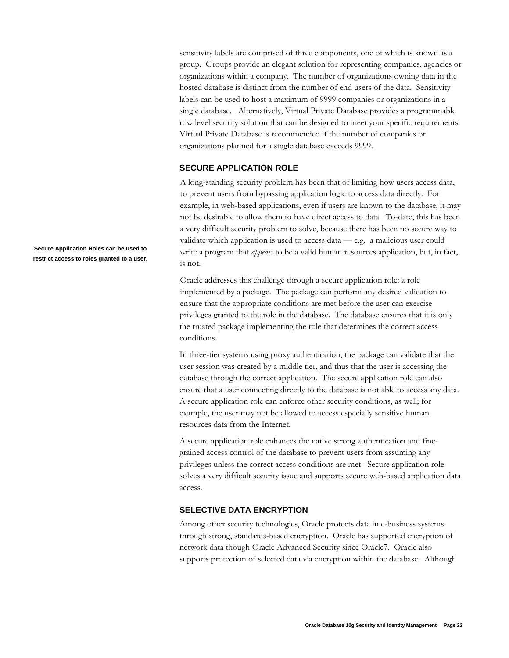<span id="page-21-0"></span>sensitivity labels are comprised of three components, one of which is known as a group. Groups provide an elegant solution for representing companies, agencies or organizations within a company. The number of organizations owning data in the hosted database is distinct from the number of end users of the data. Sensitivity labels can be used to host a maximum of 9999 companies or organizations in a single database. Alternatively, Virtual Private Database provides a programmable row level security solution that can be designed to meet your specific requirements. Virtual Private Database is recommended if the number of companies or organizations planned for a single database exceeds 9999.

# **SECURE APPLICATION ROLE**

A long-standing security problem has been that of limiting how users access data, to prevent users from bypassing application logic to access data directly. For example, in web-based applications, even if users are known to the database, it may not be desirable to allow them to have direct access to data. To-date, this has been a very difficult security problem to solve, because there has been no secure way to validate which application is used to access data — e.g. a malicious user could write a program that *appears* to be a valid human resources application, but, in fact, is not.

Oracle addresses this challenge through a secure application role: a role implemented by a package. The package can perform any desired validation to ensure that the appropriate conditions are met before the user can exercise privileges granted to the role in the database. The database ensures that it is only the trusted package implementing the role that determines the correct access conditions.

In three-tier systems using proxy authentication, the package can validate that the user session was created by a middle tier, and thus that the user is accessing the database through the correct application. The secure application role can also ensure that a user connecting directly to the database is not able to access any data. A secure application role can enforce other security conditions, as well; for example, the user may not be allowed to access especially sensitive human resources data from the Internet.

A secure application role enhances the native strong authentication and finegrained access control of the database to prevent users from assuming any privileges unless the correct access conditions are met. Secure application role solves a very difficult security issue and supports secure web-based application data access.

# **SELECTIVE DATA ENCRYPTION**

Among other security technologies, Oracle protects data in e-business systems through strong, standards-based encryption. Oracle has supported encryption of network data though Oracle Advanced Security since Oracle7. Oracle also supports protection of selected data via encryption within the database. Although

**Secure Application Roles can be used to restrict access to roles granted to a user.**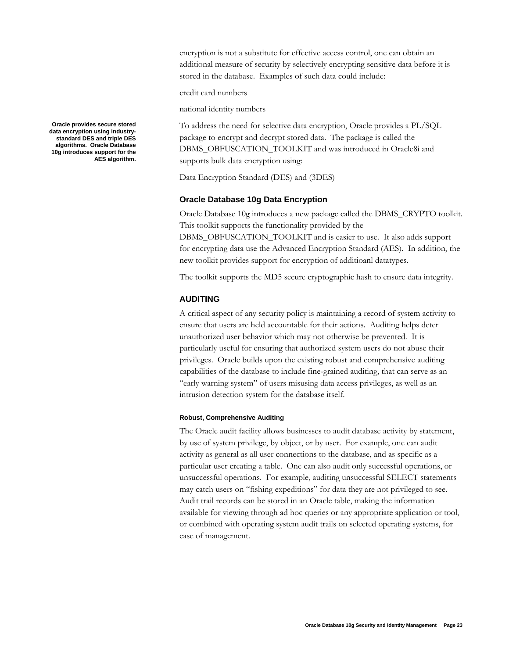encryption is not a substitute for effective access control, one can obtain an additional measure of security by selectively encrypting sensitive data before it is stored in the database. Examples of such data could include:

credit card numbers

national identity numbers

To address the need for selective data encryption, Oracle provides a PL/SQL package to encrypt and decrypt stored data. The package is called the DBMS\_OBFUSCATION\_TOOLKIT and was introduced in Oracle8i and supports bulk data encryption using:

Data Encryption Standard (DES) and (3DES)

#### **Oracle Database 10g Data Encryption**

Oracle Database 10g introduces a new package called the DBMS\_CRYPTO toolkit. This toolkit supports the functionality provided by the

DBMS\_OBFUSCATION\_TOOLKIT and is easier to use. It also adds support for encrypting data use the Advanced Encryption Standard (AES). In addition, the new toolkit provides support for encryption of additioanl datatypes.

The toolkit supports the MD5 secure cryptographic hash to ensure data integrity.

# **AUDITING**

A critical aspect of any security policy is maintaining a record of system activity to ensure that users are held accountable for their actions. Auditing helps deter unauthorized user behavior which may not otherwise be prevented. It is particularly useful for ensuring that authorized system users do not abuse their privileges. Oracle builds upon the existing robust and comprehensive auditing capabilities of the database to include fine-grained auditing, that can serve as an "early warning system" of users misusing data access privileges, as well as an intrusion detection system for the database itself.

#### **Robust, Comprehensive Auditing**

The Oracle audit facility allows businesses to audit database activity by statement, by use of system privilege, by object, or by user. For example, one can audit activity as general as all user connections to the database, and as specific as a particular user creating a table. One can also audit only successful operations, or unsuccessful operations. For example, auditing unsuccessful SELECT statements may catch users on "fishing expeditions" for data they are not privileged to see. Audit trail records can be stored in an Oracle table, making the information available for viewing through ad hoc queries or any appropriate application or tool, or combined with operating system audit trails on selected operating systems, for ease of management.

<span id="page-22-0"></span>**Oracle provides secure stored data encryption using industrystandard DES and triple DES algorithms. Oracle Database 10g introduces support for the AES algorithm.**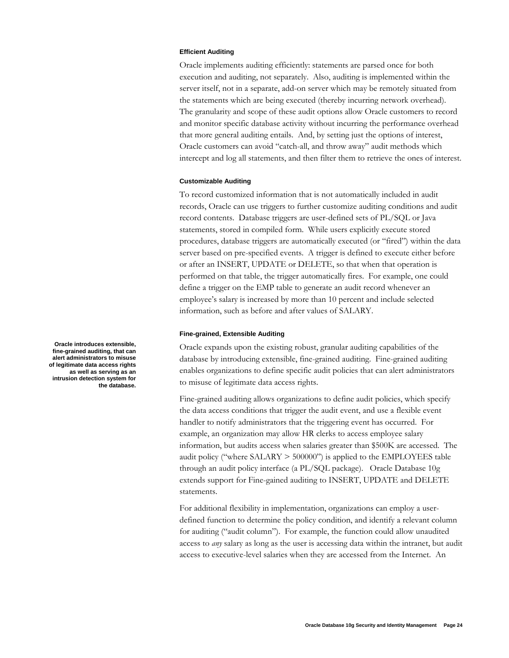#### <span id="page-23-0"></span>**Efficient Auditing**

Oracle implements auditing efficiently: statements are parsed once for both execution and auditing, not separately. Also, auditing is implemented within the server itself, not in a separate, add-on server which may be remotely situated from the statements which are being executed (thereby incurring network overhead). The granularity and scope of these audit options allow Oracle customers to record and monitor specific database activity without incurring the performance overhead that more general auditing entails. And, by setting just the options of interest, Oracle customers can avoid "catch-all, and throw away" audit methods which intercept and log all statements, and then filter them to retrieve the ones of interest.

#### **Customizable Auditing**

To record customized information that is not automatically included in audit records, Oracle can use triggers to further customize auditing conditions and audit record contents. Database triggers are user-defined sets of PL/SQL or Java statements, stored in compiled form. While users explicitly execute stored procedures, database triggers are automatically executed (or "fired") within the data server based on pre-specified events. A trigger is defined to execute either before or after an INSERT, UPDATE or DELETE, so that when that operation is performed on that table, the trigger automatically fires. For example, one could define a trigger on the EMP table to generate an audit record whenever an employee's salary is increased by more than 10 percent and include selected information, such as before and after values of SALARY.

#### **Fine-grained, Extensible Auditing**

Oracle expands upon the existing robust, granular auditing capabilities of the database by introducing extensible, fine-grained auditing. Fine-grained auditing enables organizations to define specific audit policies that can alert administrators to misuse of legitimate data access rights.

Fine-grained auditing allows organizations to define audit policies, which specify the data access conditions that trigger the audit event, and use a flexible event handler to notify administrators that the triggering event has occurred. For example, an organization may allow HR clerks to access employee salary information, but audits access when salaries greater than \$500K are accessed. The audit policy ("where SALARY > 500000") is applied to the EMPLOYEES table through an audit policy interface (a PL/SQL package). Oracle Database 10g extends support for Fine-gained auditing to INSERT, UPDATE and DELETE statements.

For additional flexibility in implementation, organizations can employ a userdefined function to determine the policy condition, and identify a relevant column for auditing ("audit column"). For example, the function could allow unaudited access to *any* salary as long as the user is accessing data within the intranet, but audit access to executive-level salaries when they are accessed from the Internet. An

**Oracle introduces extensible, fine-grained auditing, that can alert administrators to misuse of legitimate data access rights as well as serving as an intrusion detection system for the database.**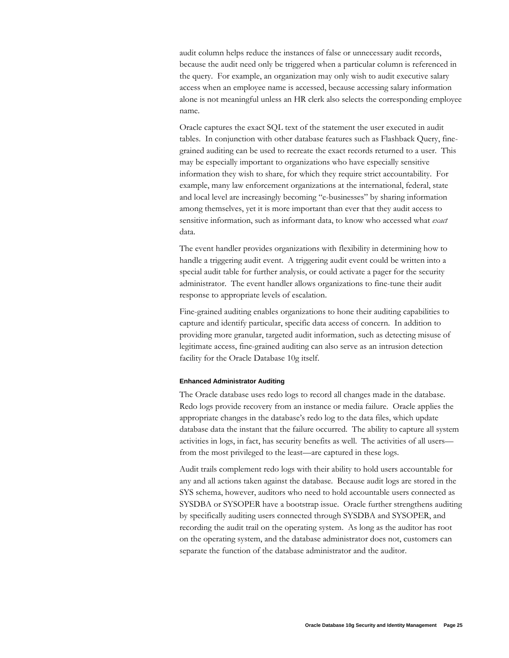<span id="page-24-0"></span>audit column helps reduce the instances of false or unnecessary audit records, because the audit need only be triggered when a particular column is referenced in the query. For example, an organization may only wish to audit executive salary access when an employee name is accessed, because accessing salary information alone is not meaningful unless an HR clerk also selects the corresponding employee name.

Oracle captures the exact SQL text of the statement the user executed in audit tables. In conjunction with other database features such as Flashback Query, finegrained auditing can be used to recreate the exact records returned to a user. This may be especially important to organizations who have especially sensitive information they wish to share, for which they require strict accountability. For example, many law enforcement organizations at the international, federal, state and local level are increasingly becoming "e-businesses" by sharing information among themselves, yet it is more important than ever that they audit access to sensitive information, such as informant data, to know who accessed what *exact* data.

The event handler provides organizations with flexibility in determining how to handle a triggering audit event. A triggering audit event could be written into a special audit table for further analysis, or could activate a pager for the security administrator. The event handler allows organizations to fine-tune their audit response to appropriate levels of escalation.

Fine-grained auditing enables organizations to hone their auditing capabilities to capture and identify particular, specific data access of concern. In addition to providing more granular, targeted audit information, such as detecting misuse of legitimate access, fine-grained auditing can also serve as an intrusion detection facility for the Oracle Database 10g itself.

#### **Enhanced Administrator Auditing**

The Oracle database uses redo logs to record all changes made in the database. Redo logs provide recovery from an instance or media failure. Oracle applies the appropriate changes in the database's redo log to the data files, which update database data the instant that the failure occurred. The ability to capture all system activities in logs, in fact, has security benefits as well. The activities of all users from the most privileged to the least—are captured in these logs.

Audit trails complement redo logs with their ability to hold users accountable for any and all actions taken against the database. Because audit logs are stored in the SYS schema, however, auditors who need to hold accountable users connected as SYSDBA or SYSOPER have a bootstrap issue. Oracle further strengthens auditing by specifically auditing users connected through SYSDBA and SYSOPER, and recording the audit trail on the operating system. As long as the auditor has root on the operating system, and the database administrator does not, customers can separate the function of the database administrator and the auditor.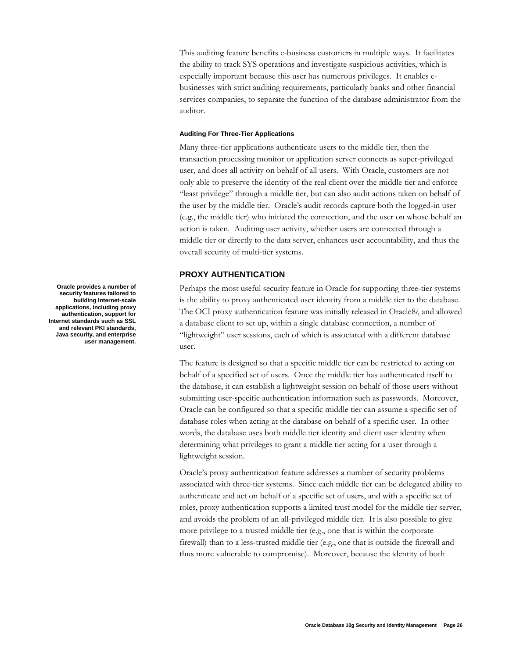<span id="page-25-0"></span>This auditing feature benefits e-business customers in multiple ways. It facilitates the ability to track SYS operations and investigate suspicious activities, which is especially important because this user has numerous privileges. It enables ebusinesses with strict auditing requirements, particularly banks and other financial services companies, to separate the function of the database administrator from the auditor.

# **Auditing For Three-Tier Applications**

Many three-tier applications authenticate users to the middle tier, then the transaction processing monitor or application server connects as super-privileged user, and does all activity on behalf of all users. With Oracle, customers are not only able to preserve the identity of the real client over the middle tier and enforce "least privilege" through a middle tier, but can also audit actions taken on behalf of the user by the middle tier. Oracle's audit records capture both the logged-in user (e.g., the middle tier) who initiated the connection, and the user on whose behalf an action is taken. Auditing user activity, whether users are connected through a middle tier or directly to the data server, enhances user accountability, and thus the overall security of multi-tier systems.

# **PROXY AUTHENTICATION**

Perhaps the most useful security feature in Oracle for supporting three-tier systems is the ability to proxy authenticated user identity from a middle tier to the database. The OCI proxy authentication feature was initially released in Oracle8*i*, and allowed a database client to set up, within a single database connection, a number of "lightweight" user sessions, each of which is associated with a different database user.

The feature is designed so that a specific middle tier can be restricted to acting on behalf of a specified set of users. Once the middle tier has authenticated itself to the database, it can establish a lightweight session on behalf of those users without submitting user-specific authentication information such as passwords. Moreover, Oracle can be configured so that a specific middle tier can assume a specific set of database roles when acting at the database on behalf of a specific user. In other words, the database uses both middle tier identity and client user identity when determining what privileges to grant a middle tier acting for a user through a lightweight session.

Oracle's proxy authentication feature addresses a number of security problems associated with three-tier systems. Since each middle tier can be delegated ability to authenticate and act on behalf of a specific set of users, and with a specific set of roles, proxy authentication supports a limited trust model for the middle tier server, and avoids the problem of an all-privileged middle tier. It is also possible to give more privilege to a trusted middle tier (e.g., one that is within the corporate firewall) than to a less-trusted middle tier (e.g., one that is outside the firewall and thus more vulnerable to compromise). Moreover, because the identity of both

**Oracle provides a number of security features tailored to building Internet-scale applications, including proxy authentication, support for Internet standards such as SSL and relevant PKI standards, Java security, and enterprise user management.**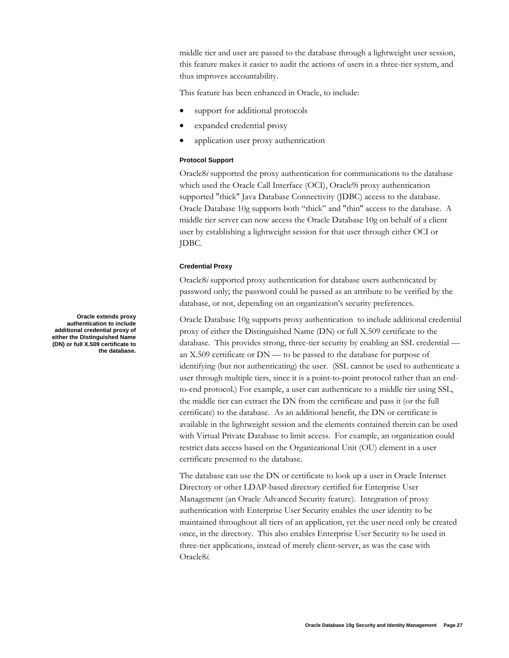<span id="page-26-0"></span>middle tier and user are passed to the database through a lightweight user session, this feature makes it easier to audit the actions of users in a three-tier system, and thus improves accountability.

This feature has been enhanced in Oracle, to include:

- support for additional protocols
- expanded credential proxy
- application user proxy authentication

# **Protocol Support**

Oracle8*i* supported the proxy authentication for communications to the database which used the Oracle Call Interface (OCI), Oracle9i proxy authentication supported "thick" Java Database Connectivity (JDBC) access to the database. Oracle Database 10g supports both "thick" and "thin" access to the database. A middle tier server can now access the Oracle Database 10g on behalf of a client user by establishing a lightweight session for that user through either OCI or JDBC.

#### **Credential Proxy**

Oracle8*i* supported proxy authentication for database users authenticated by password only; the password could be passed as an attribute to be verified by the database, or not, depending on an organization's security preferences.

Oracle Database 10g supports proxy authentication to include additional credential proxy of either the Distinguished Name (DN) or full X.509 certificate to the database. This provides strong, three-tier security by enabling an SSL credential an X.509 certificate or DN *—* to be passed to the database for purpose of identifying (but not authenticating) the user. (SSL cannot be used to authenticate a user through multiple tiers, since it is a point-to-point protocol rather than an endto-end protocol.) For example, a user can authenticate to a middle tier using SSL, the middle tier can extract the DN from the certificate and pass it (or the full certificate) to the database. As an additional benefit, the DN or certificate is available in the lightweight session and the elements contained therein can be used with Virtual Private Database to limit access. For example, an organization could restrict data access based on the Organizational Unit (OU) element in a user certificate presented to the database.

The database can use the DN or certificate to look up a user in Oracle Internet Directory or other LDAP-based directory certified for Enterprise User Management (an Oracle Advanced Security feature). Integration of proxy authentication with Enterprise User Security enables the user identity to be maintained throughout all tiers of an application, yet the user need only be created once, in the directory. This also enables Enterprise User Security to be used in three-tier applications, instead of merely client-server, as was the case with Oracle8*i.*

**Oracle extends proxy authentication to include additional credential proxy of either the Distinguished Name (DN) or full X.509 certificate to the database.**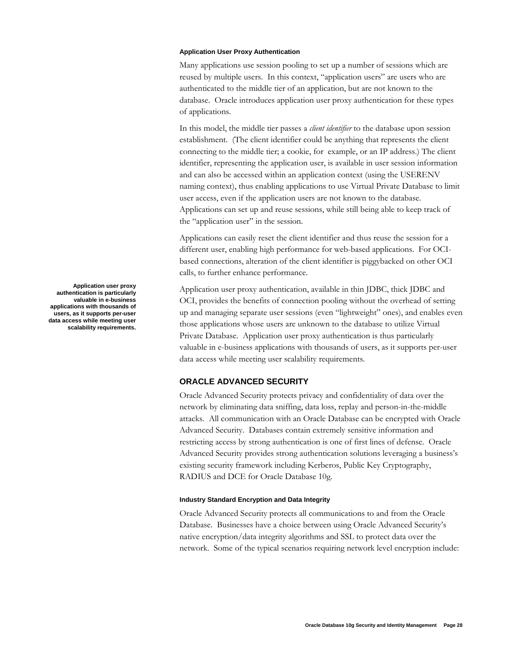#### <span id="page-27-0"></span>**Application User Proxy Authentication**

Many applications use session pooling to set up a number of sessions which are reused by multiple users. In this context, "application users" are users who are authenticated to the middle tier of an application, but are not known to the database. Oracle introduces application user proxy authentication for these types of applications.

In this model, the middle tier passes a *client identifier* to the database upon session establishment. (The client identifier could be anything that represents the client connecting to the middle tier; a cookie, for example, or an IP address.) The client identifier, representing the application user, is available in user session information and can also be accessed within an application context (using the USERENV naming context), thus enabling applications to use Virtual Private Database to limit user access, even if the application users are not known to the database. Applications can set up and reuse sessions, while still being able to keep track of the "application user" in the session.

Applications can easily reset the client identifier and thus reuse the session for a different user, enabling high performance for web-based applications. For OCIbased connections, alteration of the client identifier is piggybacked on other OCI calls, to further enhance performance.

Application user proxy authentication, available in thin JDBC, thick JDBC and OCI, provides the benefits of connection pooling without the overhead of setting up and managing separate user sessions (even "lightweight" ones), and enables even those applications whose users are unknown to the database to utilize Virtual Private Database. Application user proxy authentication is thus particularly valuable in e-business applications with thousands of users, as it supports per-user data access while meeting user scalability requirements.

# **ORACLE ADVANCED SECURITY**

Oracle Advanced Security protects privacy and confidentiality of data over the network by eliminating data sniffing, data loss, replay and person-in-the-middle attacks. All communication with an Oracle Database can be encrypted with Oracle Advanced Security. Databases contain extremely sensitive information and restricting access by strong authentication is one of first lines of defense. Oracle Advanced Security provides strong authentication solutions leveraging a business's existing security framework including Kerberos, Public Key Cryptography, RADIUS and DCE for Oracle Database 10g.

#### **Industry Standard Encryption and Data Integrity**

Oracle Advanced Security protects all communications to and from the Oracle Database. Businesses have a choice between using Oracle Advanced Security's native encryption/data integrity algorithms and SSL to protect data over the network. Some of the typical scenarios requiring network level encryption include:

**Application user proxy authentication is particularly valuable in e-business applications with thousands of users, as it supports per-user data access while meeting user scalability requirements.**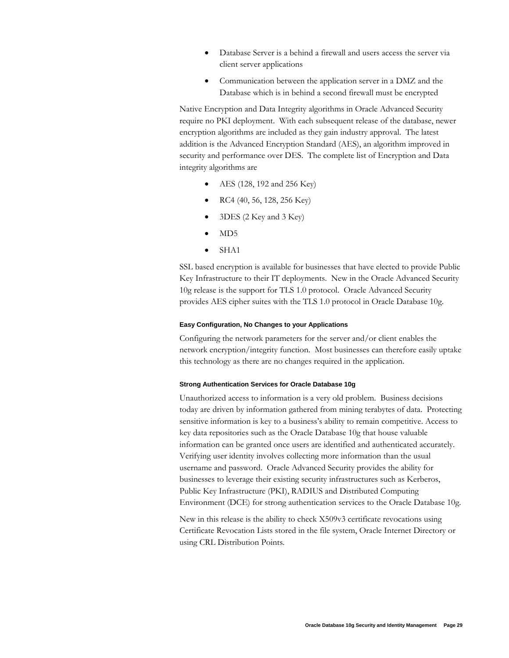- Database Server is a behind a firewall and users access the server via client server applications
- Communication between the application server in a DMZ and the Database which is in behind a second firewall must be encrypted

<span id="page-28-0"></span>Native Encryption and Data Integrity algorithms in Oracle Advanced Security require no PKI deployment. With each subsequent release of the database, newer encryption algorithms are included as they gain industry approval. The latest addition is the Advanced Encryption Standard (AES), an algorithm improved in security and performance over DES. The complete list of Encryption and Data integrity algorithms are

- AES (128, 192 and 256 Key)
- RC4 (40, 56, 128, 256 Key)
- 3DES (2 Key and 3 Key)
- MD5
- SHA1

SSL based encryption is available for businesses that have elected to provide Public Key Infrastructure to their IT deployments. New in the Oracle Advanced Security 10g release is the support for TLS 1.0 protocol. Oracle Advanced Security provides AES cipher suites with the TLS 1.0 protocol in Oracle Database 10g.

#### **Easy Configuration, No Changes to your Applications**

Configuring the network parameters for the server and/or client enables the network encryption/integrity function. Most businesses can therefore easily uptake this technology as there are no changes required in the application.

#### **Strong Authentication Services for Oracle Database 10g**

Unauthorized access to information is a very old problem. Business decisions today are driven by information gathered from mining terabytes of data. Protecting sensitive information is key to a business's ability to remain competitive. Access to key data repositories such as the Oracle Database 10g that house valuable information can be granted once users are identified and authenticated accurately. Verifying user identity involves collecting more information than the usual username and password. Oracle Advanced Security provides the ability for businesses to leverage their existing security infrastructures such as Kerberos, Public Key Infrastructure (PKI), RADIUS and Distributed Computing Environment (DCE) for strong authentication services to the Oracle Database 10g.

New in this release is the ability to check X509v3 certificate revocations using Certificate Revocation Lists stored in the file system, Oracle Internet Directory or using CRL Distribution Points.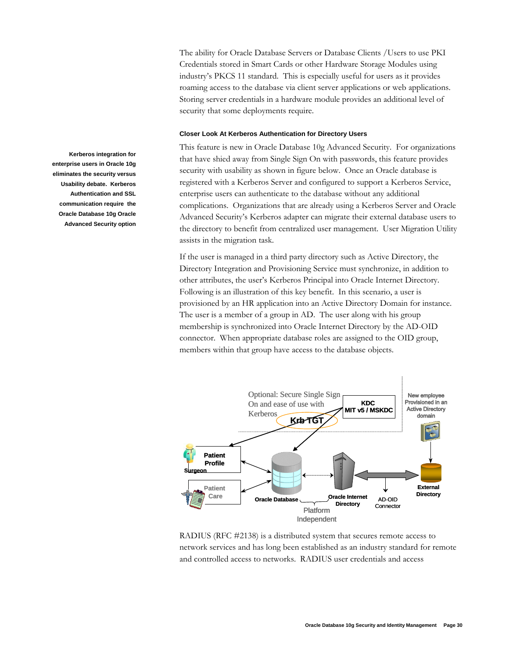The ability for Oracle Database Servers or Database Clients /Users to use PKI Credentials stored in Smart Cards or other Hardware Storage Modules using industry's PKCS 11 standard. This is especially useful for users as it provides roaming access to the database via client server applications or web applications. Storing server credentials in a hardware module provides an additional level of security that some deployments require.

#### **Closer Look At Kerberos Authentication for Directory Users**

This feature is new in Oracle Database 10g Advanced Security. For organizations that have shied away from Single Sign On with passwords, this feature provides security with usability as shown in figure below. Once an Oracle database is registered with a Kerberos Server and configured to support a Kerberos Service, enterprise users can authenticate to the database without any additional complications. Organizations that are already using a Kerberos Server and Oracle Advanced Security's Kerberos adapter can migrate their external database users to the directory to benefit from centralized user management. User Migration Utility assists in the migration task.

If the user is managed in a third party directory such as Active Directory, the Directory Integration and Provisioning Service must synchronize, in addition to other attributes, the user's Kerberos Principal into Oracle Internet Directory. Following is an illustration of this key benefit. In this scenario, a user is provisioned by an HR application into an Active Directory Domain for instance. The user is a member of a group in AD. The user along with his group membership is synchronized into Oracle Internet Directory by the AD-OID connector. When appropriate database roles are assigned to the OID group, members within that group have access to the database objects.



RADIUS (RFC #2138) is a distributed system that secures remote access to network services and has long been established as an industry standard for remote and controlled access to networks. RADIUS user credentials and access

<span id="page-29-0"></span>**Kerberos integration for enterprise users in Oracle 10g eliminates the security versus Usability debate. Kerberos Authentication and SSL communication require the Oracle Database 10g Oracle Advanced Security option**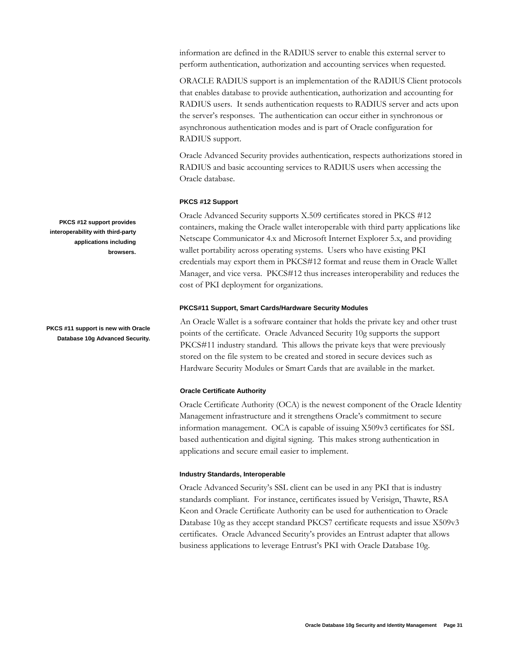<span id="page-30-0"></span>information are defined in the RADIUS server to enable this external server to perform authentication, authorization and accounting services when requested.

ORACLE RADIUS support is an implementation of the RADIUS Client protocols that enables database to provide authentication, authorization and accounting for RADIUS users. It sends authentication requests to RADIUS server and acts upon the server's responses. The authentication can occur either in synchronous or asynchronous authentication modes and is part of Oracle configuration for RADIUS support.

Oracle Advanced Security provides authentication, respects authorizations stored in RADIUS and basic accounting services to RADIUS users when accessing the Oracle database.

### **PKCS #12 Support**

Oracle Advanced Security supports X.509 certificates stored in PKCS #12 containers, making the Oracle wallet interoperable with third party applications like Netscape Communicator 4.x and Microsoft Internet Explorer 5.x, and providing wallet portability across operating systems. Users who have existing PKI credentials may export them in PKCS#12 format and reuse them in Oracle Wallet Manager, and vice versa. PKCS#12 thus increases interoperability and reduces the cost of PKI deployment for organizations.

#### **PKCS#11 Support, Smart Cards/Hardware Security Modules**

An Oracle Wallet is a software container that holds the private key and other trust points of the certificate. Oracle Advanced Security 10g supports the support PKCS#11 industry standard. This allows the private keys that were previously stored on the file system to be created and stored in secure devices such as Hardware Security Modules or Smart Cards that are available in the market.

#### **Oracle Certificate Authority**

Oracle Certificate Authority (OCA) is the newest component of the Oracle Identity Management infrastructure and it strengthens Oracle's commitment to secure information management. OCA is capable of issuing X509v3 certificates for SSL based authentication and digital signing. This makes strong authentication in applications and secure email easier to implement.

#### **Industry Standards, Interoperable**

Oracle Advanced Security's SSL client can be used in any PKI that is industry standards compliant. For instance, certificates issued by Verisign, Thawte, RSA Keon and Oracle Certificate Authority can be used for authentication to Oracle Database 10g as they accept standard PKCS7 certificate requests and issue X509v3 certificates. Oracle Advanced Security's provides an Entrust adapter that allows business applications to leverage Entrust's PKI with Oracle Database 10g.

**PKCS #12 support provides interoperability with third-party applications including browsers.** 

**PKCS #11 support is new with Oracle Database 10g Advanced Security.**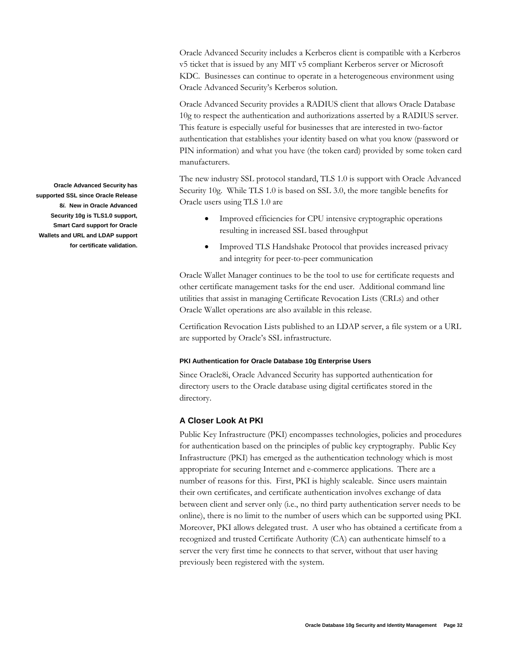Oracle Advanced Security includes a Kerberos client is compatible with a Kerberos v5 ticket that is issued by any MIT v5 compliant Kerberos server or Microsoft KDC. Businesses can continue to operate in a heterogeneous environment using Oracle Advanced Security's Kerberos solution.

Oracle Advanced Security provides a RADIUS client that allows Oracle Database 10g to respect the authentication and authorizations asserted by a RADIUS server. This feature is especially useful for businesses that are interested in two-factor authentication that establishes your identity based on what you know (password or PIN information) and what you have (the token card) provided by some token card manufacturers.

The new industry SSL protocol standard, TLS 1.0 is support with Oracle Advanced Security 10g. While TLS 1.0 is based on SSL 3.0, the more tangible benefits for Oracle users using TLS 1.0 are

- Improved efficiencies for CPU intensive cryptographic operations resulting in increased SSL based throughput
- Improved TLS Handshake Protocol that provides increased privacy and integrity for peer-to-peer communication

Oracle Wallet Manager continues to be the tool to use for certificate requests and other certificate management tasks for the end user. Additional command line utilities that assist in managing Certificate Revocation Lists (CRLs) and other Oracle Wallet operations are also available in this release.

Certification Revocation Lists published to an LDAP server, a file system or a URL are supported by Oracle's SSL infrastructure.

#### **PKI Authentication for Oracle Database 10g Enterprise Users**

Since Oracle8i, Oracle Advanced Security has supported authentication for directory users to the Oracle database using digital certificates stored in the directory.

# **A Closer Look At PKI**

Public Key Infrastructure (PKI) encompasses technologies, policies and procedures for authentication based on the principles of public key cryptography. Public Key Infrastructure (PKI) has emerged as the authentication technology which is most appropriate for securing Internet and e-commerce applications. There are a number of reasons for this. First, PKI is highly scaleable. Since users maintain their own certificates, and certificate authentication involves exchange of data between client and server only (i.e., no third party authentication server needs to be online), there is no limit to the number of users which can be supported using PKI. Moreover, PKI allows delegated trust. A user who has obtained a certificate from a recognized and trusted Certificate Authority (CA) can authenticate himself to a server the very first time he connects to that server, without that user having previously been registered with the system.

<span id="page-31-0"></span>**Oracle Advanced Security has supported SSL since Oracle Release 8***i.* **New in Oracle Advanced Security 10g is TLS1.0 support, Smart Card support for Oracle Wallets and URL and LDAP support for certificate validation.**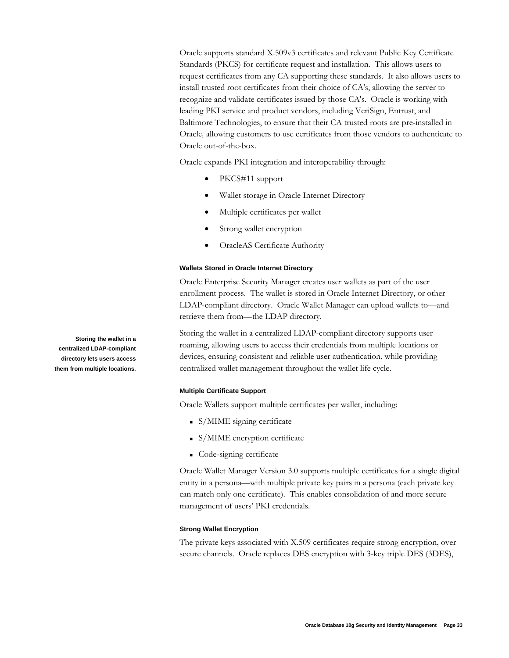<span id="page-32-0"></span>Oracle supports standard X.509v3 certificates and relevant Public Key Certificate Standards (PKCS) for certificate request and installation. This allows users to request certificates from any CA supporting these standards. It also allows users to install trusted root certificates from their choice of CA's, allowing the server to recognize and validate certificates issued by those CA's. Oracle is working with leading PKI service and product vendors, including VeriSign, Entrust, and Baltimore Technologies, to ensure that their CA trusted roots are pre-installed in Oracle*,* allowing customers to use certificates from those vendors to authenticate to Oracle out-of-the-box.

Oracle expands PKI integration and interoperability through:

- PKCS#11 support
- Wallet storage in Oracle Internet Directory
- Multiple certificates per wallet
- Strong wallet encryption
- OracleAS Certificate Authority

#### **Wallets Stored in Oracle Internet Directory**

Oracle Enterprise Security Manager creates user wallets as part of the user enrollment process. The wallet is stored in Oracle Internet Directory, or other LDAP-compliant directory. Oracle Wallet Manager can upload wallets to—and retrieve them from—the LDAP directory.

Storing the wallet in a centralized LDAP-compliant directory supports user roaming, allowing users to access their credentials from multiple locations or devices, ensuring consistent and reliable user authentication, while providing centralized wallet management throughout the wallet life cycle.

#### **Multiple Certificate Support**

Oracle Wallets support multiple certificates per wallet, including:

- S/MIME signing certificate
- S/MIME encryption certificate
- Code-signing certificate

Oracle Wallet Manager Version 3.0 supports multiple certificates for a single digital entity in a persona—with multiple private key pairs in a persona (each private key can match only one certificate). This enables consolidation of and more secure management of users' PKI credentials.

# **Strong Wallet Encryption**

The private keys associated with X.509 certificates require strong encryption, over secure channels. Oracle replaces DES encryption with 3-key triple DES (3DES),

**Storing the wallet in a centralized LDAP-compliant directory lets users access them from multiple locations.**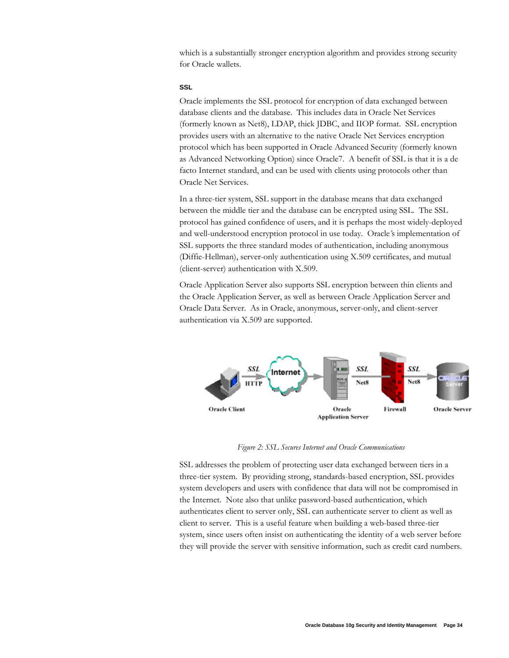<span id="page-33-0"></span>which is a substantially stronger encryption algorithm and provides strong security for Oracle wallets.

# **SSL**

Oracle implements the SSL protocol for encryption of data exchanged between database clients and the database. This includes data in Oracle Net Services (formerly known as Net8), LDAP, thick JDBC, and IIOP format. SSL encryption provides users with an alternative to the native Oracle Net Services encryption protocol which has been supported in Oracle Advanced Security (formerly known as Advanced Networking Option) since Oracle7. A benefit of SSL is that it is a de facto Internet standard, and can be used with clients using protocols other than Oracle Net Services.

In a three-tier system, SSL support in the database means that data exchanged between the middle tier and the database can be encrypted using SSL. The SSL protocol has gained confidence of users, and it is perhaps the most widely-deployed and well-understood encryption protocol in use today. Oracle*'*s implementation of SSL supports the three standard modes of authentication, including anonymous (Diffie-Hellman), server-only authentication using X.509 certificates, and mutual (client-server) authentication with X.509.

Oracle Application Server also supports SSL encryption between thin clients and the Oracle Application Server, as well as between Oracle Application Server and Oracle Data Server. As in Oracle, anonymous, server-only, and client-server authentication via X.509 are supported.



*Figure 2: SSL Secures Internet and Oracle Communications* 

SSL addresses the problem of protecting user data exchanged between tiers in a three-tier system. By providing strong, standards-based encryption, SSL provides system developers and users with confidence that data will not be compromised in the Internet. Note also that unlike password-based authentication, which authenticates client to server only, SSL can authenticate server to client as well as client to server. This is a useful feature when building a web-based three-tier system, since users often insist on authenticating the identity of a web server before they will provide the server with sensitive information, such as credit card numbers.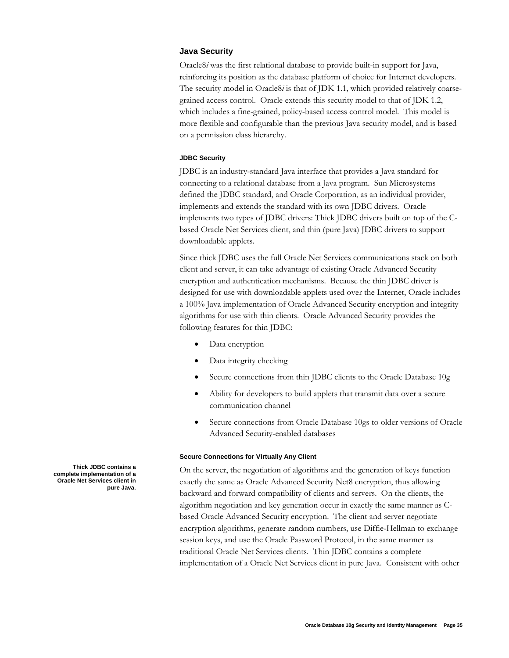# <span id="page-34-0"></span>**Java Security**

Oracle8*i* was the first relational database to provide built-in support for Java, reinforcing its position as the database platform of choice for Internet developers. The security model in Oracle8*i* is that of JDK 1.1, which provided relatively coarsegrained access control. Oracle extends this security model to that of JDK 1.2, which includes a fine-grained, policy-based access control model. This model is more flexible and configurable than the previous Java security model, and is based on a permission class hierarchy.

#### **JDBC Security**

JDBC is an industry-standard Java interface that provides a Java standard for connecting to a relational database from a Java program. Sun Microsystems defined the JDBC standard, and Oracle Corporation, as an individual provider, implements and extends the standard with its own JDBC drivers. Oracle implements two types of JDBC drivers: Thick JDBC drivers built on top of the Cbased Oracle Net Services client, and thin (pure Java) JDBC drivers to support downloadable applets.

Since thick JDBC uses the full Oracle Net Services communications stack on both client and server, it can take advantage of existing Oracle Advanced Security encryption and authentication mechanisms. Because the thin JDBC driver is designed for use with downloadable applets used over the Internet, Oracle includes a 100% Java implementation of Oracle Advanced Security encryption and integrity algorithms for use with thin clients. Oracle Advanced Security provides the following features for thin JDBC:

- Data encryption
- Data integrity checking
- Secure connections from thin JDBC clients to the Oracle Database 10g
- Ability for developers to build applets that transmit data over a secure communication channel
- Secure connections from Oracle Database 10gs to older versions of Oracle Advanced Security-enabled databases

#### **Secure Connections for Virtually Any Client**

On the server, the negotiation of algorithms and the generation of keys function exactly the same as Oracle Advanced Security Net8 encryption, thus allowing backward and forward compatibility of clients and servers. On the clients, the algorithm negotiation and key generation occur in exactly the same manner as Cbased Oracle Advanced Security encryption. The client and server negotiate encryption algorithms, generate random numbers, use Diffie-Hellman to exchange session keys, and use the Oracle Password Protocol, in the same manner as traditional Oracle Net Services clients. Thin JDBC contains a complete implementation of a Oracle Net Services client in pure Java. Consistent with other

**Thick JDBC contains a complete implementation of a Oracle Net Services client in pure Java.**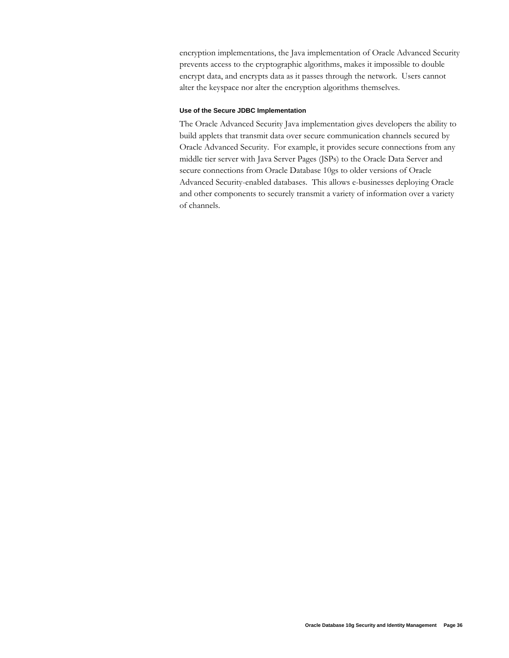<span id="page-35-0"></span>encryption implementations, the Java implementation of Oracle Advanced Security prevents access to the cryptographic algorithms, makes it impossible to double encrypt data, and encrypts data as it passes through the network. Users cannot alter the keyspace nor alter the encryption algorithms themselves.

# **Use of the Secure JDBC Implementation**

The Oracle Advanced Security Java implementation gives developers the ability to build applets that transmit data over secure communication channels secured by Oracle Advanced Security. For example, it provides secure connections from any middle tier server with Java Server Pages (JSPs) to the Oracle Data Server and secure connections from Oracle Database 10gs to older versions of Oracle Advanced Security-enabled databases. This allows e-businesses deploying Oracle and other components to securely transmit a variety of information over a variety of channels.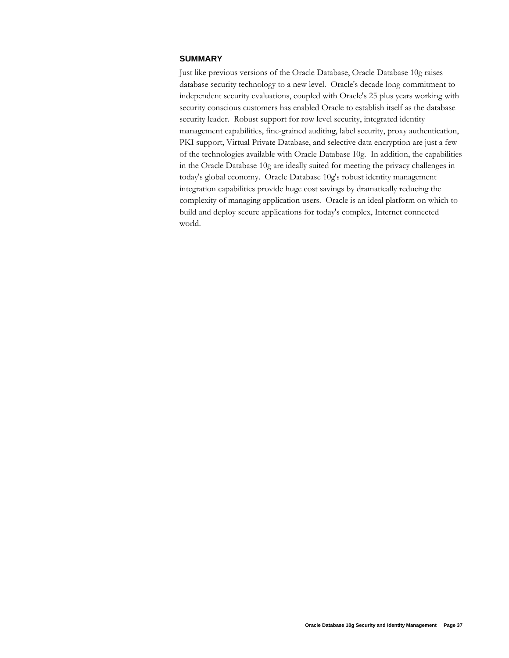# <span id="page-36-0"></span>**SUMMARY**

Just like previous versions of the Oracle Database, Oracle Database 10g raises database security technology to a new level. Oracle's decade long commitment to independent security evaluations, coupled with Oracle's 25 plus years working with security conscious customers has enabled Oracle to establish itself as the database security leader. Robust support for row level security, integrated identity management capabilities, fine-grained auditing, label security, proxy authentication, PKI support, Virtual Private Database, and selective data encryption are just a few of the technologies available with Oracle Database 10g. In addition, the capabilities in the Oracle Database 10g are ideally suited for meeting the privacy challenges in today's global economy. Oracle Database 10g's robust identity management integration capabilities provide huge cost savings by dramatically reducing the complexity of managing application users. Oracle is an ideal platform on which to build and deploy secure applications for today's complex, Internet connected world.